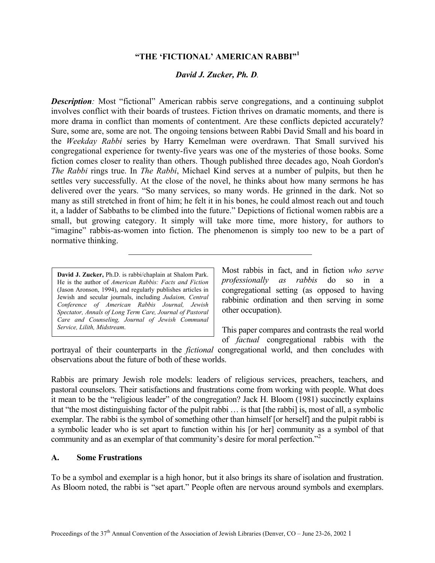#### **"THE 'FICTIONAL' AMERICAN RABBI"[1](#page-5-0)**

#### *David J. Zucker, Ph. D.*

**Description**: Most "fictional" American rabbis serve congregations, and a continuing subplot involves conflict with their boards of trustees. Fiction thrives on dramatic moments, and there is more drama in conflict than moments of contentment. Are these conflicts depicted accurately? Sure, some are, some are not. The ongoing tensions between Rabbi David Small and his board in the *Weekday Rabbi* series by Harry Kemelman were overdrawn. That Small survived his congregational experience for twenty-five years was one of the mysteries of those books. Some fiction comes closer to reality than others. Though published three decades ago, Noah Gordon's *The Rabbi* rings true. In *The Rabbi*, Michael Kind serves at a number of pulpits, but then he settles very successfully. At the close of the novel, he thinks about how many sermons he has delivered over the years. "So many services, so many words. He grinned in the dark. Not so many as still stretched in front of him; he felt it in his bones, he could almost reach out and touch it, a ladder of Sabbaths to be climbed into the future." Depictions of fictional women rabbis are a small, but growing category. It simply will take more time, more history, for authors to "imagine" rabbis-as-women into fiction. The phenomenon is simply too new to be a part of normative thinking.

**David J. Zucker,** Ph.D. is rabbi/chaplain at Shalom Park. He is the author of *American Rabbis: Facts and Fiction* (Jason Aronson, 1994), and regularly publishes articles in Jewish and secular journals, including *Judaism, Central Conference of American Rabbis Journal, Jewish Spectator, Annals of Long Term Care, Journal of Pastoral Care and Counseling, Journal of Jewish Communal*

Most rabbis in fact, and in fiction *who serve professionally as rabbis* do so in a congregational setting (as opposed to having rabbinic ordination and then serving in some other occupation).

*Service, Lilith, Midstream*. This paper compares and contrasts the real world of *factual* congregational rabbis with the

portrayal of their counterparts in the *fictional* congregational world, and then concludes with observations about the future of both of these worlds.

Rabbis are primary Jewish role models: leaders of religious services, preachers, teachers, and pastoral counselors. Their satisfactions and frustrations come from working with people. What does it mean to be the "religious leader" of the congregation? Jack H. Bloom (1981) succinctly explains that "the most distinguishing factor of the pulpit rabbi … is that [the rabbi] is, most of all, a symbolic exemplar. The rabbi is the symbol of something other than himself [or herself] and the pulpit rabbi is a symbolic leader who is set apart to function within his [or her] community as a symbol of that community and as an exemplar of that community's desire for moral perfection."<sup>[2](#page-5-1)</sup>

#### **A. Some Frustrations**

To be a symbol and exemplar is a high honor, but it also brings its share of isolation and frustration. As Bloom noted, the rabbi is "set apart." People often are nervous around symbols and exemplars.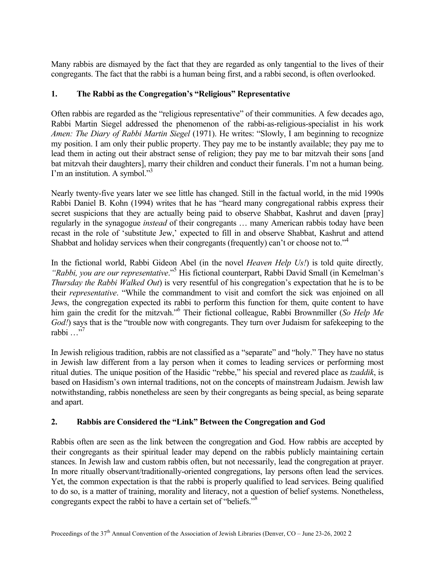Many rabbis are dismayed by the fact that they are regarded as only tangential to the lives of their congregants. The fact that the rabbi is a human being first, and a rabbi second, is often overlooked.

# **1. The Rabbi as the Congregation's "Religious" Representative**

Often rabbis are regarded as the "religious representative" of their communities. A few decades ago, Rabbi Martin Siegel addressed the phenomenon of the rabbi-as-religious-specialist in his work *Amen: The Diary of Rabbi Martin Siegel* (1971). He writes: "Slowly, I am beginning to recognize my position. I am only their public property. They pay me to be instantly available; they pay me to lead them in acting out their abstract sense of religion; they pay me to bar mitzvah their sons [and bat mitzvah their daughters], marry their children and conduct their funerals. I'm not a human being. I'm an institution. A symbol."<sup>[3](#page-5-2)</sup>

Nearly twenty-five years later we see little has changed. Still in the factual world, in the mid 1990s Rabbi Daniel B. Kohn (1994) writes that he has "heard many congregational rabbis express their secret suspicions that they are actually being paid to observe Shabbat, Kashrut and daven [pray] regularly in the synagogue *instead* of their congregants … many American rabbis today have been recast in the role of 'substitute Jew,' expected to fill in and observe Shabbat, Kashrut and attend Shabbat and holiday services when their congregants (frequently) can't or choose not to."<sup>4</sup>

In the fictional world, Rabbi Gideon Abel (in the novel *Heaven Help Us!*) is told quite directly*, "Rabbi, you are our representative*."[5](#page-5-4) His fictional counterpart, Rabbi David Small (in Kemelman's *Thursday the Rabbi Walked Out*) is very resentful of his congregation's expectation that he is to be their *representative*. "While the commandment to visit and comfort the sick was enjoined on all Jews, the congregation expected its rabbi to perform this function for them, quite content to have him gain the credit for the mitzvah.["6](#page-5-5) Their fictional colleague, Rabbi Brownmiller (*So Help Me God!*) says that is the "trouble now with congregants. They turn over Judaism for safekeeping to the rabbi …"[7](#page-5-6)

In Jewish religious tradition, rabbis are not classified as a "separate" and "holy." They have no status in Jewish law different from a lay person when it comes to leading services or performing most ritual duties. The unique position of the Hasidic "rebbe," his special and revered place as *tzaddik*, is based on Hasidism's own internal traditions, not on the concepts of mainstream Judaism. Jewish law notwithstanding, rabbis nonetheless are seen by their congregants as being special, as being separate and apart.

## **2. Rabbis are Considered the "Link" Between the Congregation and God**

Rabbis often are seen as the link between the congregation and God. How rabbis are accepted by their congregants as their spiritual leader may depend on the rabbis publicly maintaining certain stances. In Jewish law and custom rabbis often, but not necessarily, lead the congregation at prayer. In more ritually observant/traditionally-oriented congregations, lay persons often lead the services. Yet, the common expectation is that the rabbi is properly qualified to lead services. Being qualified to do so, is a matter of training, morality and literacy, not a question of belief systems. Nonetheless, congregants expect the rabbi to have a certain set of "beliefs."[8](#page-5-7)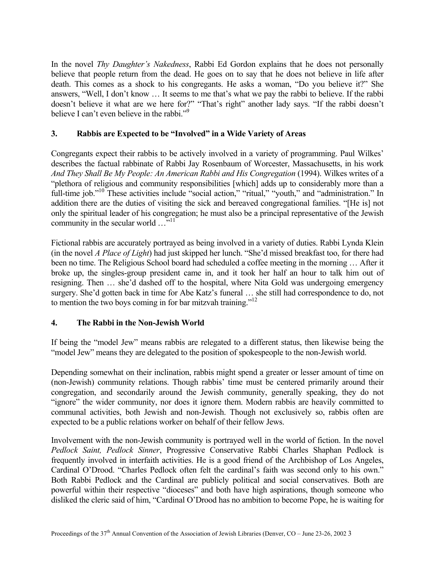In the novel *Thy Daughter's Nakedness*, Rabbi Ed Gordon explains that he does not personally believe that people return from the dead. He goes on to say that he does not believe in life after death. This comes as a shock to his congregants. He asks a woman, "Do you believe it?" She answers, "Well, I don't know … It seems to me that's what we pay the rabbi to believe. If the rabbi doesn't believe it what are we here for?" "That's right" another lady says. "If the rabbi doesn't believe I can't even believe in the rabbi."<sup>[9](#page-5-8)</sup>

## **3. Rabbis are Expected to be "Involved" in a Wide Variety of Areas**

Congregants expect their rabbis to be actively involved in a variety of programming. Paul Wilkes' describes the factual rabbinate of Rabbi Jay Rosenbaum of Worcester, Massachusetts, in his work *And They Shall Be My People: An American Rabbi and His Congregation* (1994). Wilkes writes of a "plethora of religious and community responsibilities [which] adds up to considerably more than a full-time job."<sup>10</sup> These activities include "social action," "ritual," "youth," and "administration." In addition there are the duties of visiting the sick and bereaved congregational families. "[He is] not only the spiritual leader of his congregation; he must also be a principal representative of the Jewish community in the secular world  $\dots$ <sup>5,11</sup>

Fictional rabbis are accurately portrayed as being involved in a variety of duties. Rabbi Lynda Klein (in the novel *A Place of Light*) had just skipped her lunch. "She'd missed breakfast too, for there had been no time. The Religious School board had scheduled a coffee meeting in the morning … After it broke up, the singles-group president came in, and it took her half an hour to talk him out of resigning. Then … she'd dashed off to the hospital, where Nita Gold was undergoing emergency surgery. She'd gotten back in time for Abe Katz's funeral … she still had correspondence to do, not to mention the two boys coming in for bar mitzvah training."<sup>12</sup>

## **4. The Rabbi in the Non-Jewish World**

If being the "model Jew" means rabbis are relegated to a different status, then likewise being the "model Jew" means they are delegated to the position of spokespeople to the non-Jewish world.

Depending somewhat on their inclination, rabbis might spend a greater or lesser amount of time on (non-Jewish) community relations. Though rabbis' time must be centered primarily around their congregation, and secondarily around the Jewish community, generally speaking, they do not "ignore" the wider community, nor does it ignore them. Modern rabbis are heavily committed to communal activities, both Jewish and non-Jewish. Though not exclusively so, rabbis often are expected to be a public relations worker on behalf of their fellow Jews.

Involvement with the non-Jewish community is portrayed well in the world of fiction. In the novel *Pedlock Saint, Pedlock Sinner*, Progressive Conservative Rabbi Charles Shaphan Pedlock is frequently involved in interfaith activities. He is a good friend of the Archbishop of Los Angeles, Cardinal O'Drood. "Charles Pedlock often felt the cardinal's faith was second only to his own." Both Rabbi Pedlock and the Cardinal are publicly political and social conservatives. Both are powerful within their respective "dioceses" and both have high aspirations, though someone who disliked the cleric said of him, "Cardinal O'Drood has no ambition to become Pope, he is waiting for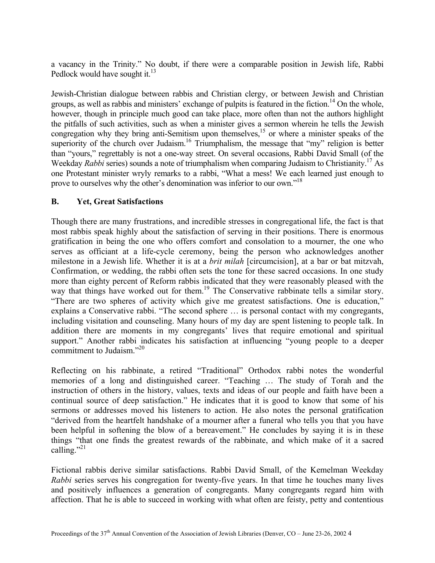a vacancy in the Trinity." No doubt, if there were a comparable position in Jewish life, Rabbi Pedlock would have sought it. $13$ 

Jewish-Christian dialogue between rabbis and Christian clergy, or between Jewish and Christian groups, as well as rabbis and ministers' exchange of pulpits is featured in the fiction.<sup>14</sup> On the whole, however, though in principle much good can take place, more often than not the authors highlight the pitfalls of such activities, such as when a minister gives a sermon wherein he tells the Jewish congregation why they bring anti-Semitism upon themselves,<sup>15</sup> or where a minister speaks of the superiority of the church over Judaism.<sup>16</sup> Triumphalism, the message that "my" religion is better than "yours," regrettably is not a one-way street. On several occasions, Rabbi David Small (of the Weekday *Rabbi* series) sounds a note of triumphalism when comparing Judaism to Christianity[.17](#page-5-16) As one Protestant minister wryly remarks to a rabbi, "What a mess! We each learned just enough to prove to ourselves why the other's denomination was inferior to our own."<sup>[18](#page-5-9)</sup>

## **B. Yet, Great Satisfactions**

Though there are many frustrations, and incredible stresses in congregational life, the fact is that most rabbis speak highly about the satisfaction of serving in their positions. There is enormous gratification in being the one who offers comfort and consolation to a mourner, the one who serves as officiant at a life-cycle ceremony, being the person who acknowledges another milestone in a Jewish life. Whether it is at a *brit milah* [circumcision], at a bar or bat mitzvah, Confirmation, or wedding, the rabbi often sets the tone for these sacred occasions. In one study more than eighty percent of Reform rabbis indicated that they were reasonably pleased with the way that things have worked out for them.<sup>19</sup> The Conservative rabbinate tells a similar story. "There are two spheres of activity which give me greatest satisfactions. One is education," explains a Conservative rabbi. "The second sphere … is personal contact with my congregants, including visitation and counseling. Many hours of my day are spent listening to people talk. In addition there are moments in my congregants' lives that require emotional and spiritual support." Another rabbi indicates his satisfaction at influencing "young people to a deeper commitment to Judaism."<sup>[20](#page-5-18)</sup>

Reflecting on his rabbinate, a retired "Traditional" Orthodox rabbi notes the wonderful memories of a long and distinguished career. "Teaching … The study of Torah and the instruction of others in the history, values, texts and ideas of our people and faith have been a continual source of deep satisfaction." He indicates that it is good to know that some of his sermons or addresses moved his listeners to action. He also notes the personal gratification "derived from the heartfelt handshake of a mourner after a funeral who tells you that you have been helpful in softening the blow of a bereavement." He concludes by saying it is in these things "that one finds the greatest rewards of the rabbinate, and which make of it a sacred calling." $^{21}$  $^{21}$  $^{21}$ 

Fictional rabbis derive similar satisfactions. Rabbi David Small, of the Kemelman Weekday *Rabbi* series serves his congregation for twenty-five years. In that time he touches many lives and positively influences a generation of congregants. Many congregants regard him with affection. That he is able to succeed in working with what often are feisty, petty and contentious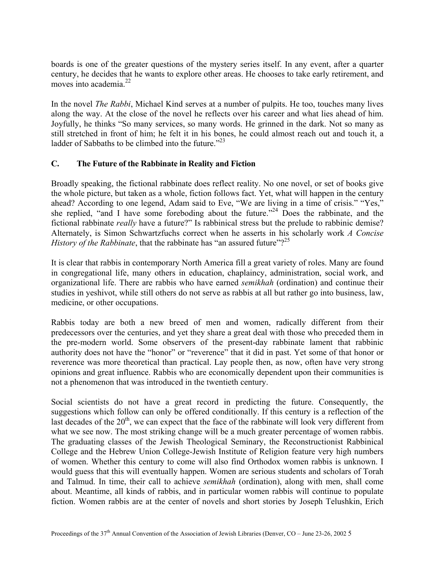boards is one of the greater questions of the mystery series itself. In any event, after a quarter century, he decides that he wants to explore other areas. He chooses to take early retirement, and moves into academia. $^{22}$ 

In the novel *The Rabbi*, Michael Kind serves at a number of pulpits. He too, touches many lives along the way. At the close of the novel he reflects over his career and what lies ahead of him. Joyfully, he thinks "So many services, so many words. He grinned in the dark. Not so many as still stretched in front of him; he felt it in his bones, he could almost reach out and touch it, a ladder of Sabbaths to be climbed into the future. $123$ 

## **C. The Future of the Rabbinate in Reality and Fiction**

Broadly speaking, the fictional rabbinate does reflect reality. No one novel, or set of books give the whole picture, but taken as a whole, fiction follows fact. Yet, what will happen in the century ahead? According to one legend, Adam said to Eve, "We are living in a time of crisis." "Yes," she replied, "and I have some foreboding about the future."<sup>24</sup> Does the rabbinate, and the fictional rabbinate *really* have a future?" Is rabbinical stress but the prelude to rabbinic demise? Alternately, is Simon Schwartzfuchs correct when he asserts in his scholarly work *A Concise History of the Rabbinate*, that the rabbinate has "an assured future"?<sup>[25](#page-5-3)</sup>

It is clear that rabbis in contemporary North America fill a great variety of roles. Many are found in congregational life, many others in education, chaplaincy, administration, social work, and organizational life. There are rabbis who have earned *semikhah* (ordination) and continue their studies in yeshivot, while still others do not serve as rabbis at all but rather go into business, law, medicine, or other occupations.

Rabbis today are both a new breed of men and women, radically different from their predecessors over the centuries, and yet they share a great deal with those who preceded them in the pre-modern world. Some observers of the present-day rabbinate lament that rabbinic authority does not have the "honor" or "reverence" that it did in past. Yet some of that honor or reverence was more theoretical than practical. Lay people then, as now, often have very strong opinions and great influence. Rabbis who are economically dependent upon their communities is not a phenomenon that was introduced in the twentieth century.

Social scientists do not have a great record in predicting the future. Consequently, the suggestions which follow can only be offered conditionally. If this century is a reflection of the last decades of the  $20<sup>th</sup>$ , we can expect that the face of the rabbinate will look very different from what we see now. The most striking change will be a much greater percentage of women rabbis. The graduating classes of the Jewish Theological Seminary, the Reconstructionist Rabbinical College and the Hebrew Union College-Jewish Institute of Religion feature very high numbers of women. Whether this century to come will also find Orthodox women rabbis is unknown. I would guess that this will eventually happen. Women are serious students and scholars of Torah and Talmud. In time, their call to achieve *semikhah* (ordination), along with men, shall come about. Meantime, all kinds of rabbis, and in particular women rabbis will continue to populate fiction. Women rabbis are at the center of novels and short stories by Joseph Telushkin, Erich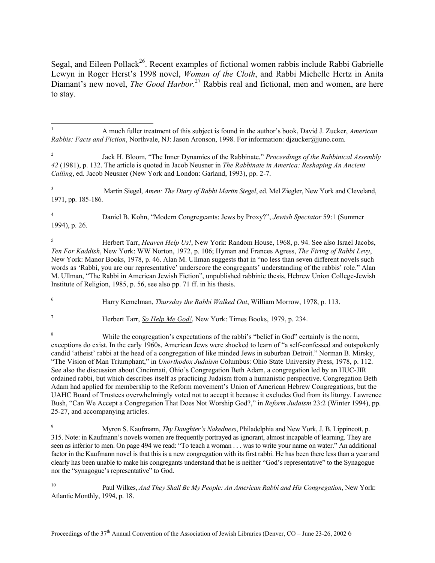<span id="page-5-24"></span><span id="page-5-20"></span><span id="page-5-12"></span><span id="page-5-7"></span>Segal, and Eileen Pollack<sup>26</sup>. Recent examples of fictional women rabbis include Rabbi Gabrielle Lewyn in Roger Herst's 1998 novel, *Woman of the Cloth*, and Rabbi Michelle Hertz in Anita Diamant's new novel, *The Good Harbor*. [27](#page-5-24) Rabbis real and fictional, men and women, are here to stay.

<span id="page-5-9"></span>3 Martin Siegel, *Amen: The Diary of Rabbi Martin Siegel*, ed. Mel Ziegler, New York and Cleveland, 1971, pp. 185-186.

<span id="page-5-22"></span>4 Daniel B. Kohn, "Modern Congregeants: Jews by Proxy?", *Jewish Spectator* 59:1 (Summer 1994), p. 26.

<span id="page-5-10"></span><span id="page-5-3"></span>5 Herbert Tarr, *Heaven Help Us!*, New York: Random House, 1968, p. 94. See also Israel Jacobs, *Ten For Kaddish*, New York: WW Norton, 1972, p. 106; Hyman and Frances Agress, *The Firing of Rabbi Levy*, New York: Manor Books, 1978, p. 46. Alan M. Ullman suggests that in "no less than seven different novels such words as 'Rabbi, you are our representative' underscore the congregants' understanding of the rabbis' role." Alan M. Ullman, "The Rabbi in American Jewish Fiction", unpublished rabbinic thesis, Hebrew Union College-Jewish Institute of Religion, 1985, p. 56, see also pp. 71 ff. in his thesis.

<span id="page-5-17"></span><span id="page-5-11"></span><span id="page-5-4"></span>6 Harry Kemelman, *Thursday the Rabbi Walked Out*, William Morrow, 1978, p. 113.

<span id="page-5-5"></span>7

<span id="page-5-13"></span><span id="page-5-8"></span> $\overline{a}$ 

Herbert Tarr, *So Help Me God!*, New York: Times Books, 1979, p. 234.

<span id="page-5-18"></span><span id="page-5-6"></span>8 While the congregation's expectations of the rabbi's "belief in God" certainly is the norm, exceptions do exist. In the early 1960s, American Jews were shocked to learn of "a self-confessed and outspokenly candid 'atheist' rabbi at the head of a congregation of like minded Jews in suburban Detroit." Norman B. Mirsky, "The Vision of Man Triumphant," in *Unorthodox Judaism* Columbus: Ohio State University Press, 1978, p. 112. See also the discussion about Cincinnati, Ohio's Congregation Beth Adam, a congregation led by an HUC-JIR ordained rabbi, but which describes itself as practicing Judaism from a humanistic perspective. Congregation Beth Adam had applied for membership to the Reform movement's Union of American Hebrew Congregations, but the UAHC Board of Trustees overwhelmingly voted not to accept it because it excludes God from its liturgy. Lawrence Bush, "Can We Accept a Congregation That Does Not Worship God?," in *Reform Judaism* 23:2 (Winter 1994), pp. 25-27, and accompanying articles.

<span id="page-5-1"></span><sup>9</sup> Myron S. Kaufmann, *Thy Daughter's Nakedness*, Philadelphia and New York, J. B. Lippincott, p. 315. Note: in Kaufmann's novels women are frequently portrayed as ignorant, almost incapable of learning. They are seen as inferior to men. On page 494 we read: "To teach a woman . . . was to write your name on water." An additional factor in the Kaufmann novel is that this is a new congregation with its first rabbi. He has been there less than a year and clearly has been unable to make his congregants understand that he is neither "God's representative" to the Synagogue nor the "synagogue's representative" to God.

<span id="page-5-23"></span><span id="page-5-19"></span>10 Paul Wilkes, *And They Shall Be My People: An American Rabbi and His Congregation*, New York: Atlantic Monthly, 1994, p. 18.

<span id="page-5-15"></span><span id="page-5-14"></span><span id="page-5-0"></span><sup>1</sup> A much fuller treatment of this subject is found in the author's book, David J. Zucker, *American Rabbis: Facts and Fiction*, Northvale, NJ: Jason Aronson, 1998. For information: djzucker@juno.com.

<span id="page-5-21"></span><span id="page-5-16"></span><span id="page-5-2"></span><sup>2</sup> Jack H. Bloom, "The Inner Dynamics of the Rabbinate," *Proceedings of the Rabbinical Assembly 42* (1981), p. 132. The article is quoted in Jacob Neusner in *The Rabbinate in America: Reshaping An Ancient Calling*, ed. Jacob Neusner (New York and London: Garland, 1993), pp. 2-7.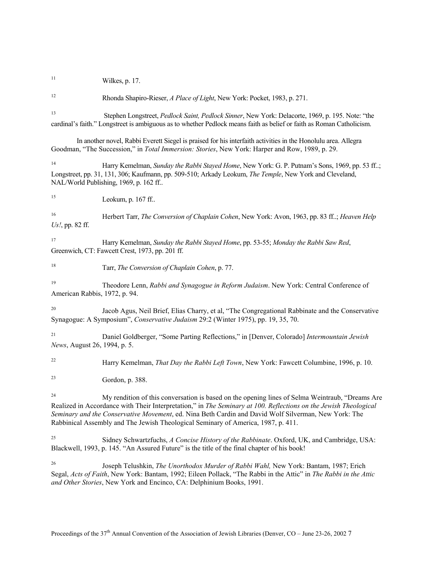$11$  Wilkes, p. 17.

12 Rhonda Shapiro-Rieser, *A Place of Light*, New York: Pocket, 1983, p. 271.

13 Stephen Longstreet, *Pedlock Saint, Pedlock Sinner*, New York: Delacorte, 1969, p. 195. Note: "the cardinal's faith." Longstreet is ambiguous as to whether Pedlock means faith as belief or faith as Roman Catholicism.

In another novel, Rabbi Everett Siegel is praised for his interfaith activities in the Honolulu area. Allegra Goodman, "The Succession," in *Total Immersion: Stories*, New York: Harper and Row, 1989, p. 29.

14 Harry Kemelman, *Sunday the Rabbi Stayed Home*, New York: G. P. Putnam's Sons, 1969, pp. 53 ff..; Longstreet, pp. 31, 131, 306; Kaufmann, pp. 509-510; Arkady Leokum, *The Temple*, New York and Cleveland, NAL/World Publishing, 1969, p. 162 ff..

<sup>15</sup> Leokum, p. 167 ff..

16 Herbert Tarr, *The Conversion of Chaplain Cohen*, New York: Avon, 1963, pp. 83 ff..; *Heaven Help Us!*, pp. 82 ff.

17 Harry Kemelman, *Sunday the Rabbi Stayed Home*, pp. 53-55; *Monday the Rabbi Saw Red*, Greenwich, CT: Fawcett Crest, 1973, pp. 201 ff.

18 Tarr, *The Conversion of Chaplain Cohen*, p. 77.

19 Theodore Lenn, *Rabbi and Synagogue in Reform Judaism*. New York: Central Conference of American Rabbis, 1972, p. 94.

20 Jacob Agus, Neil Brief, Elias Charry, et al, "The Congregational Rabbinate and the Conservative Synagogue: A Symposium", *Conservative Judaism* 29:2 (Winter 1975), pp. 19, 35, 70.

21 Daniel Goldberger, "Some Parting Reflections," in [Denver, Colorado] *Intermountain Jewish News*, August 26, 1994, p. 5.

22 Harry Kemelman, *That Day the Rabbi Left Town*, New York: Fawcett Columbine, 1996, p. 10.

23 Gordon, p. 388.

<sup>24</sup> My rendition of this conversation is based on the opening lines of Selma Weintraub, "Dreams Are Realized in Accordance with Their Interpretation," in *The Seminary at 100. Reflections on the Jewish Theological Seminary and the Conservative Movement*, ed. Nina Beth Cardin and David Wolf Silverman, New York: The Rabbinical Assembly and The Jewish Theological Seminary of America, 1987, p. 411.

25 Sidney Schwartzfuchs, *A Concise History of the Rabbinate*. Oxford, UK, and Cambridge, USA: Blackwell, 1993, p. 145. "An Assured Future" is the title of the final chapter of his book!

26 Joseph Telushkin, *The Unorthodox Murder of Rabbi Wahl,* New York: Bantam, 1987; Erich Segal, *Acts of Faith*, New York: Bantam, 1992; Eileen Pollack, "The Rabbi in the Attic" in *The Rabbi in the Attic and Other Stories*, New York and Encinco, CA: Delphinium Books, 1991.